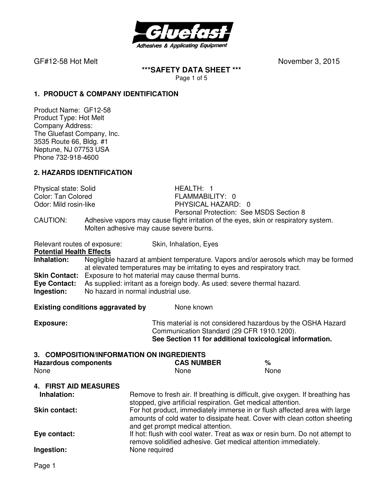

### **\*\*\*SAFETY DATA SHEET \*\*\***  Page 1 of 5

**1. PRODUCT & COMPANY IDENTIFICATION**

Product Name: GF12-58 Product Type: Hot Melt Company Address: The Gluefast Company, Inc. 3535 Route 66, Bldg. #1 Neptune, NJ 07753 USA Phone 732-918-4600

## **2. HAZARDS IDENTIFICATION**

Physical state: Solid **HEALTH: 1**<br>Color: Tan Colored **HEALTH: 1** Color: Tan Colored **FLAMMABILITY: 0**<br>
Odor: Mild rosin-like **FULL READING THATA PHYSICAL HAZARD** 

PHYSICAL HAZARD: 0 Personal Protection: See MSDS Section 8

CAUTION: Adhesive vapors may cause flight irritation of the eyes, skin or respiratory system. Molten adhesive may cause severe burns.

Relevant routes of exposure: Skin, Inhalation, Eyes **Potential Health Effects Inhalation:** Negligible hazard at ambient temperature. Vapors and/or aerosols which may be formed at elevated temperatures may be irritating to eyes and respiratory tract. **Skin Contact:** Exposure to hot material may cause thermal burns. **Eye Contact:** As supplied: irritant as a foreign body. As used: severe thermal hazard. **Ingestion:** No hazard in normal industrial use.

**Existing conditions aggravated by Solve Representions and None known** 

**Exposure:** This material is not considered hazardous by the OSHA Hazard Communication Standard (29 CFR 1910.1200). **See Section 11 for additional toxicological information.** 

### **3. COMPOSITION/INFORMATION ON INGREDIENTS**

| <b>Hazardous components</b> | <b>CAS NUMBER</b> | %    |
|-----------------------------|-------------------|------|
| None                        | <b>None</b>       | None |

### **4. FIRST AID MEASURES**

| Inhalation:          | Remove to fresh air. If breathing is difficult, give oxygen. If breathing has<br>stopped, give artificial respiration. Get medical attention.                                               |
|----------------------|---------------------------------------------------------------------------------------------------------------------------------------------------------------------------------------------|
| <b>Skin contact:</b> | For hot product, immediately immerse in or flush affected area with large<br>amounts of cold water to dissipate heat. Cover with clean cotton sheeting<br>and get prompt medical attention. |
| Eye contact:         | If hot: flush with cool water. Treat as wax or resin burn. Do not attempt to<br>remove solidified adhesive. Get medical attention immediately.                                              |
| Ingestion:           | None required                                                                                                                                                                               |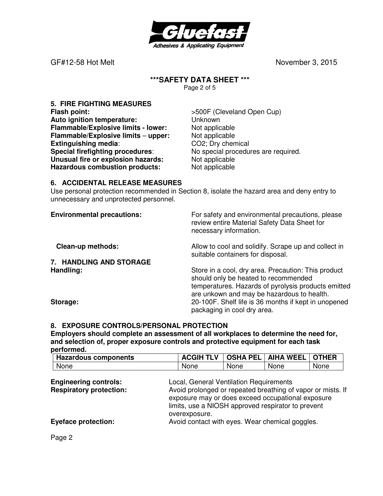

# **\*\*\*SAFETY DATA SHEET \*\*\***

Page 2 of 5

**5. FIRE FIGHTING MEASURES Flash point:**  $>500F$  (Cleveland Open Cup) **Auto ignition temperature:** Unknown **Flammable/Explosive limits - lower:** Not applicable **Flammable/Explosive limits – upper:** Not applicable **Extinguishing media:** CO2; Dry chemical **Special firefighting procedures**: No special procedures are required. **Unusual fire or explosion hazards:** Not applicable<br> **Hazardous combustion products:** Not applicable **Hazardous combustion products:** 

## **6. ACCIDENTAL RELEASE MEASURES**

Use personal protection recommended in Section 8, isolate the hazard area and deny entry to unnecessary and unprotected personnel.

| <b>Environmental precautions:</b> | For safety and environmental precautions, please<br>review entire Material Safety Data Sheet for<br>necessary information.                                                                       |
|-----------------------------------|--------------------------------------------------------------------------------------------------------------------------------------------------------------------------------------------------|
| <b>Clean-up methods:</b>          | Allow to cool and solidify. Scrape up and collect in<br>suitable containers for disposal.                                                                                                        |
| 7. HANDLING AND STORAGE           |                                                                                                                                                                                                  |
| Handling:                         | Store in a cool, dry area. Precaution: This product<br>should only be heated to recommended<br>temperatures. Hazards of pyrolysis products emitted<br>are unkown and may be hazardous to health. |
| Storage:                          | 20-100F. Shelf life is 36 months if kept in unopened<br>packaging in cool dry area.                                                                                                              |

## **8. EXPOSURE CONTROLS/PERSONAL PROTECTION**

**Employers should complete an assessment of all workplaces to determine the need for, and selection of, proper exposure controls and protective equipment for each task performed.** 

| <b>Hazardous components</b> | <b>\CGIH</b><br>$-$<br>v | <b>OSHA PEL</b> | WEEL<br><b>AIHA</b> | <b>OTHER</b> |
|-----------------------------|--------------------------|-----------------|---------------------|--------------|
| None                        | None                     | <b>None</b>     | None                | None         |

| <b>Engineering controls:</b>   | Local, General Ventilation Requirements                     |
|--------------------------------|-------------------------------------------------------------|
| <b>Respiratory protection:</b> | Avoid prolonged or repeated breathing of vapor or mists. If |
|                                | exposure may or does exceed occupational exposure           |
|                                | limits, use a NIOSH approved respirator to prevent          |
|                                | overexposure.                                               |
| <b>Eyeface protection:</b>     | Avoid contact with eyes. Wear chemical goggles.             |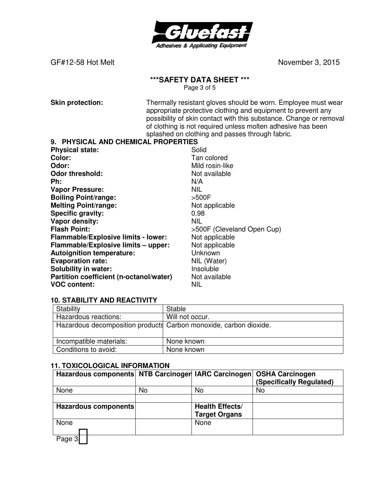

GF#12-58 Hot Melt
and Contact Contact Contact Contact Contact Contact Contact Contact Contact Contact Contact Contact Contact Contact Contact Contact Contact Contact Contact Contact Contact Contact Contact Contact Contact

# **\*\*\*SAFETY DATA SHEET \*\*\***

Page 3 of 5

**Skin protection:** Thermally resistant gloves should be worn. Employee must wear appropriate protective clothing and equipment to prevent any possibility of skin contact with this substance. Change or removal of clothing is not required unless molten adhesive has been splashed on clothing and passes through fabric.

#### **9. PHYSICAL AND CHEMICAL PROPERTIES**

| <b>Physical state:</b>                  | Solid                      |
|-----------------------------------------|----------------------------|
| Color:                                  | Tan colored                |
| Odor:                                   | Mild rosin-like            |
| <b>Odor threshold:</b>                  | Not available              |
| Ph:                                     | N/A                        |
| <b>Vapor Pressure:</b>                  | <b>NIL</b>                 |
| <b>Boiling Point/range:</b>             | >500F                      |
| <b>Melting Point/range:</b>             | Not applicable             |
| <b>Specific gravity:</b>                | 0.98                       |
| Vapor density:                          | <b>NIL</b>                 |
| <b>Flash Point:</b>                     | >500F (Cleveland Open Cup) |
| Flammable/Explosive limits - lower:     | Not applicable             |
| Flammable/Explosive limits - upper:     | Not applicable             |
| <b>Autoignition temperature:</b>        | Unknown                    |
| <b>Evaporation rate:</b>                | NIL (Water)                |
| <b>Solubility in water:</b>             | Insoluble                  |
| Partition coefficient (n-octanol/water) | Not available              |
| <b>VOC content:</b>                     | <b>NIL</b>                 |

### **10. STABILITY AND REACTIVITY**

| Stability               | Stable                                                            |
|-------------------------|-------------------------------------------------------------------|
| Hazardous reactions:    | Will not occur.                                                   |
|                         | Hazardous decomposition products Carbon monoxide, carbon dioxide. |
|                         |                                                                   |
| Incompatible materials: | None known                                                        |
| Conditions to avoid:    | None known                                                        |

### **11. TOXICOLOGICAL INFORMATION**

| Hazardous components NTB Carcinoger IARC Carcinogen |    |                                                | <b>OSHA Carcinogen</b><br>(Specifically Regulated) |
|-----------------------------------------------------|----|------------------------------------------------|----------------------------------------------------|
| None                                                | No | No                                             | No                                                 |
|                                                     |    |                                                |                                                    |
| Hazardous components                                |    | <b>Health Effects/</b><br><b>Target Organs</b> |                                                    |
| None                                                |    | None                                           |                                                    |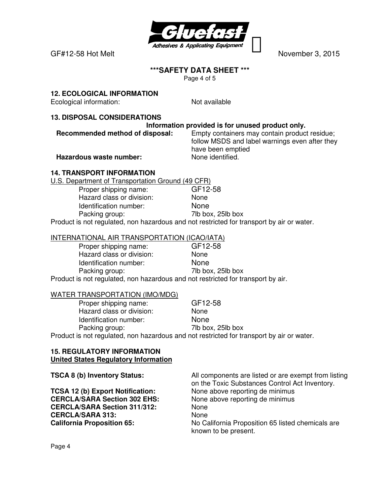

## **\*\*\*SAFETY DATA SHEET \*\*\***

Page 4 of 5

# **12. ECOLOGICAL INFORMATION**

Ecological information: Not available

## **13. DISPOSAL CONSIDERATIONS**

## **Information provided is for unused product only.**

**Recommended method of disposal:** Empty containers may contain product residue; follow MSDS and label warnings even after they have been emptied

**Hazardous waste number:** None identified.

## **14. TRANSPORT INFORMATION**

U.S. Department of Transportation Ground (49 CFR)

Proper shipping name: GF12-58 Hazard class or division: None Identification number: None Packing group: 7lb box, 25lb box

Product is not regulated, non hazardous and not restricted for transport by air or water.

## INTERNATIONAL AIR TRANSPORTATION (ICAO/IATA)

| Proper shipping name:                                                            | GF12-58           |
|----------------------------------------------------------------------------------|-------------------|
| Hazard class or division:                                                        | None              |
| Identification number:                                                           | <b>None</b>       |
| Packing group:                                                                   | 7lb box, 25lb box |
| Product is not regulated, non hazardous and not restricted for transport by air. |                   |

### WATER TRANSPORTATION (IMO/MDG)

| Proper shipping name:     | GF12-58                                                                                   |
|---------------------------|-------------------------------------------------------------------------------------------|
| Hazard class or division: | <b>None</b>                                                                               |
| Identification number:    | <b>None</b>                                                                               |
| Packing group:            | 7lb box, 25lb box                                                                         |
|                           | Product is not regulated, non hazardous and not restricted for transport by air or water. |

#### **15. REGULATORY INFORMATION United States Regulatory Information**

**TSCA 8 (b) Inventory Status:** All components are listed or are exempt from listing on the Toxic Substances Control Act Inventory. **TCSA 12 (b) Export Notification:** None above reporting de minimus **CERCLA/SARA Section 302 EHS:** None above reporting de minimus **CERCLA/SARA Section 311/312:** None **CERCLA/SARA 313:** None **California Proposition 65:** No California Proposition 65 listed chemicals are known to be present.